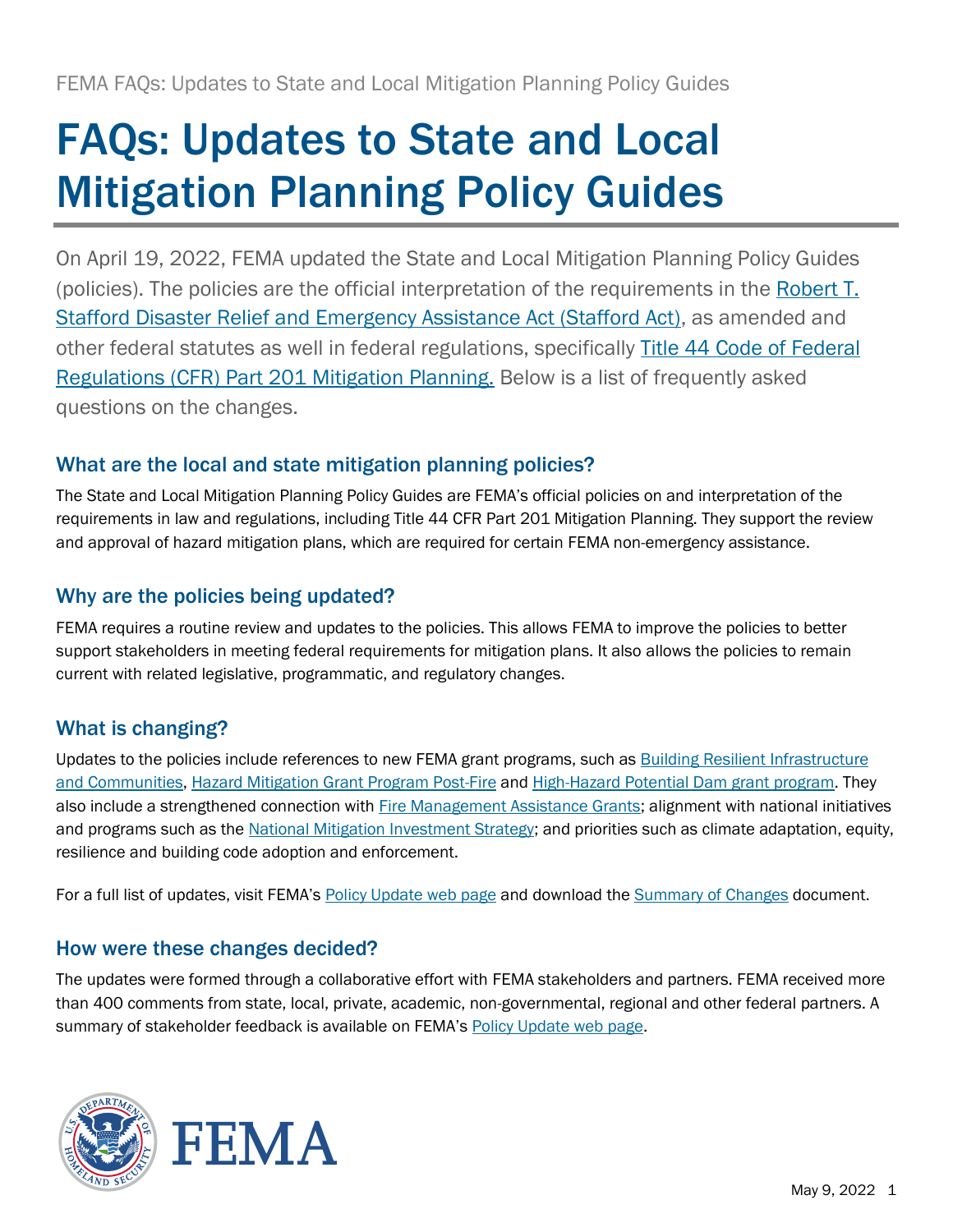# FAQs: Updates to State and Local Mitigation Planning Policy Guides

On April 19, 2022, FEMA updated the State and Local Mitigation Planning Policy Guides (policies). The policies are the official interpretation of the requirements in the [Robert T.](https://www.fema.gov/disaster/stafford-act)  [Stafford Disaster Relief and Emergency Assistance Act \(Stafford Act\),](https://www.fema.gov/disaster/stafford-act) as amended and other federal statutes as well in federal regulations, specifically Title 44 Code of Federal [Regulations \(CFR\) Part 201](https://www.ecfr.gov/current/title-44/chapter-I/subchapter-D/part-201) Mitigation Planning. Below is a list of frequently asked questions on the changes.

## What are the local and state mitigation planning policies?

The State and Local Mitigation Planning Policy Guides are FEMA's official policies on and interpretation of the requirements in law and regulations, including Title 44 CFR Part 201 Mitigation Planning. They support the review and approval of hazard mitigation plans, which are required for certain FEMA non-emergency assistance.

## Why are the policies being updated?

FEMA requires a routine review and updates to the policies. This allows FEMA to improve the policies to better support stakeholders in meeting federal requirements for mitigation plans. It also allows the policies to remain current with related legislative, programmatic, and regulatory changes.

## What is changing?

Updates to the policies include references to new FEMA grant programs, such as [Building Resilient Infrastructure](https://www.fema.gov/grants/mitigation/building-resilient-infrastructure-communities)  [and Communities,](https://www.fema.gov/grants/mitigation/building-resilient-infrastructure-communities) [Hazard Mitigation Grant Program Post-Fire](https://www.fema.gov/grants/mitigation/post-fire) and [High-Hazard Potential Dam grant program.](https://www.fema.gov/emergency-managers/risk-management/dam-safety/grants#hhpd) They also include a strengthened connection with [Fire Management Assistance Grants;](https://www.fema.gov/assistance/public/fire-management-assistance) alignment with national initiatives and programs such as the [National Mitigation Investment Strategy;](https://www.fema.gov/emergency-managers/national-preparedness/frameworks/mitigation/mitflg#nmis) and priorities such as climate adaptation, equity, resilience and building code adoption and enforcement.

For a full list of updates, visit FEMA's [Policy Update web page](https://www.fema.gov/emergency-managers/risk-management/hazard-mitigation-planning/updates) and download th[e Summary of Changes](https://www.fema.gov/sites/default/files/documents/fema_mitigation-policies-summary-changes_042022.pdf) document.

### How were these changes decided?

The updates were formed through a collaborative effort with FEMA stakeholders and partners. FEMA received more than 400 comments from state, local, private, academic, non-governmental, regional and other federal partners. A summary of stakeholder feedback is available on FEMA's [Policy Update web page.](https://www.fema.gov/emergency-managers/risk-management/hazard-mitigation-planning/updates)



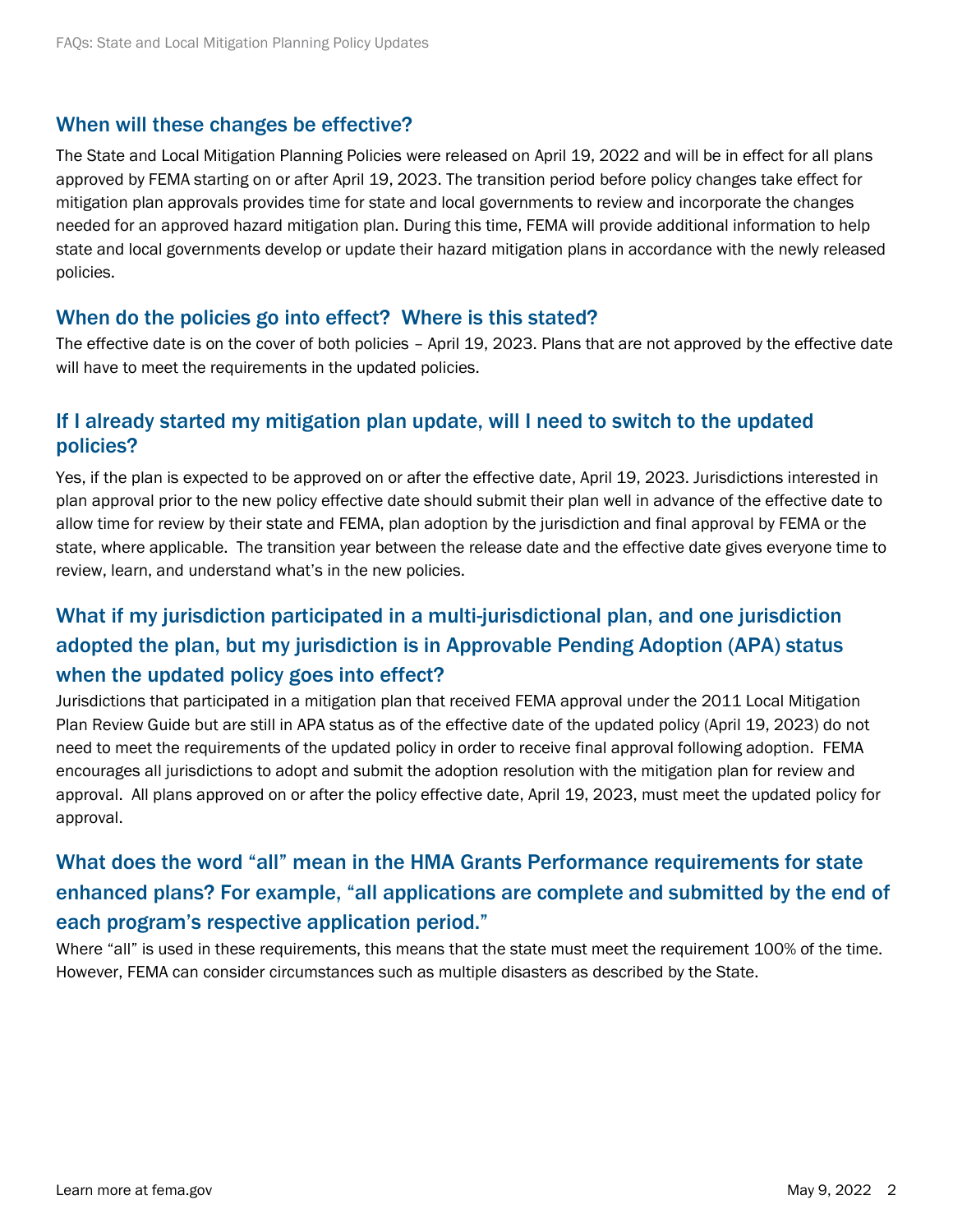#### When will these changes be effective?

The State and Local Mitigation Planning Policies were released on April 19, 2022 and will be in effect for all plans approved by FEMA starting on or after April 19, 2023. The transition period before policy changes take effect for mitigation plan approvals provides time for state and local governments to review and incorporate the changes needed for an approved hazard mitigation plan. During this time, FEMA will provide additional information to help state and local governments develop or update their hazard mitigation plans in accordance with the newly released policies.

#### When do the policies go into effect? Where is this stated?

The effective date is on the cover of both policies – April 19, 2023. Plans that are not approved by the effective date will have to meet the requirements in the updated policies.

### If I already started my mitigation plan update, will I need to switch to the updated policies?

Yes, if the plan is expected to be approved on or after the effective date, April 19, 2023. Jurisdictions interested in plan approval prior to the new policy effective date should submit their plan well in advance of the effective date to allow time for review by their state and FEMA, plan adoption by the jurisdiction and final approval by FEMA or the state, where applicable. The transition year between the release date and the effective date gives everyone time to review, learn, and understand what's in the new policies.

## What if my jurisdiction participated in a multi-jurisdictional plan, and one jurisdiction adopted the plan, but my jurisdiction is in Approvable Pending Adoption (APA) status when the updated policy goes into effect?

Jurisdictions that participated in a mitigation plan that received FEMA approval under the 2011 Local Mitigation Plan Review Guide but are still in APA status as of the effective date of the updated policy (April 19, 2023) do not need to meet the requirements of the updated policy in order to receive final approval following adoption. FEMA encourages all jurisdictions to adopt and submit the adoption resolution with the mitigation plan for review and approval. All plans approved on or after the policy effective date, April 19, 2023, must meet the updated policy for approval.

## What does the word "all" mean in the HMA Grants Performance requirements for state enhanced plans? For example, "all applications are complete and submitted by the end of each program's respective application period."

Where "all" is used in these requirements, this means that the state must meet the requirement 100% of the time. However, FEMA can consider circumstances such as multiple disasters as described by the State.